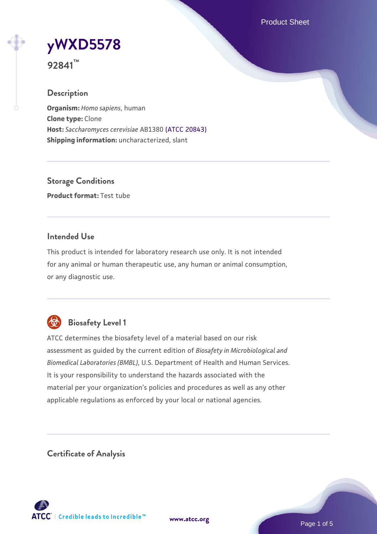Product Sheet



**92841™**

# **Description**

**Organism:** *Homo sapiens*, human **Clone type:** Clone **Host:** *Saccharomyces cerevisiae* AB1380 [\(ATCC 20843\)](https://www.atcc.org/products/20843) **Shipping information:** uncharacterized, slant

**Storage Conditions Product format:** Test tube

# **Intended Use**

This product is intended for laboratory research use only. It is not intended for any animal or human therapeutic use, any human or animal consumption, or any diagnostic use.



# **Biosafety Level 1**

ATCC determines the biosafety level of a material based on our risk assessment as guided by the current edition of *Biosafety in Microbiological and Biomedical Laboratories (BMBL)*, U.S. Department of Health and Human Services. It is your responsibility to understand the hazards associated with the material per your organization's policies and procedures as well as any other applicable regulations as enforced by your local or national agencies.

**Certificate of Analysis**

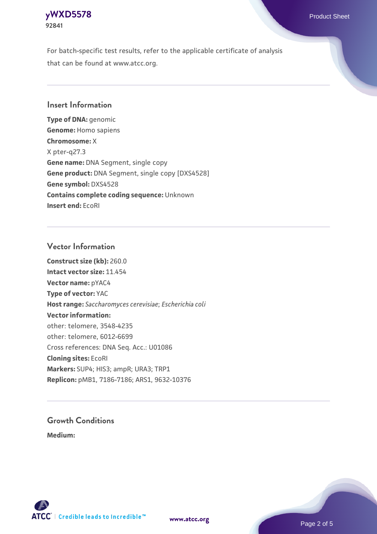#### **[yWXD5578](https://www.atcc.org/products/92841)** Product Sheet **92841**

For batch-specific test results, refer to the applicable certificate of analysis that can be found at www.atcc.org.

# **Insert Information**

**Type of DNA:** genomic **Genome:** Homo sapiens **Chromosome:** X X pter-q27.3 **Gene name:** DNA Segment, single copy **Gene product:** DNA Segment, single copy [DXS4528] **Gene symbol:** DXS4528 **Contains complete coding sequence:** Unknown **Insert end:** EcoRI

## **Vector Information**

**Construct size (kb):** 260.0 **Intact vector size:** 11.454 **Vector name:** pYAC4 **Type of vector:** YAC **Host range:** *Saccharomyces cerevisiae*; *Escherichia coli* **Vector information:** other: telomere, 3548-4235 other: telomere, 6012-6699 Cross references: DNA Seq. Acc.: U01086 **Cloning sites:** EcoRI **Markers:** SUP4; HIS3; ampR; URA3; TRP1 **Replicon:** pMB1, 7186-7186; ARS1, 9632-10376

# **Growth Conditions**

**Medium:** 



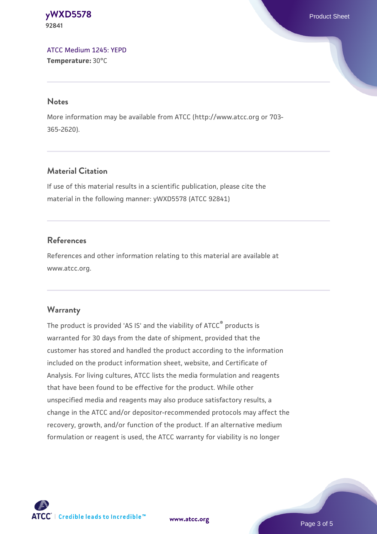#### **[yWXD5578](https://www.atcc.org/products/92841)** Product Sheet **92841**

[ATCC Medium 1245: YEPD](https://www.atcc.org/-/media/product-assets/documents/microbial-media-formulations/1/2/4/5/atcc-medium-1245.pdf?rev=705ca55d1b6f490a808a965d5c072196) **Temperature:** 30°C

#### **Notes**

More information may be available from ATCC (http://www.atcc.org or 703- 365-2620).

# **Material Citation**

If use of this material results in a scientific publication, please cite the material in the following manner: yWXD5578 (ATCC 92841)

# **References**

References and other information relating to this material are available at www.atcc.org.

# **Warranty**

The product is provided 'AS IS' and the viability of ATCC® products is warranted for 30 days from the date of shipment, provided that the customer has stored and handled the product according to the information included on the product information sheet, website, and Certificate of Analysis. For living cultures, ATCC lists the media formulation and reagents that have been found to be effective for the product. While other unspecified media and reagents may also produce satisfactory results, a change in the ATCC and/or depositor-recommended protocols may affect the recovery, growth, and/or function of the product. If an alternative medium formulation or reagent is used, the ATCC warranty for viability is no longer



**[www.atcc.org](http://www.atcc.org)**

Page 3 of 5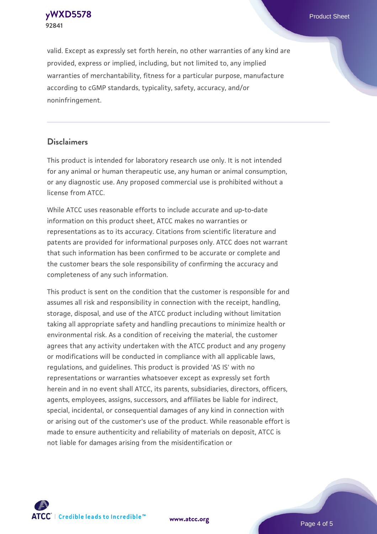**[yWXD5578](https://www.atcc.org/products/92841)** Product Sheet **92841**

valid. Except as expressly set forth herein, no other warranties of any kind are provided, express or implied, including, but not limited to, any implied warranties of merchantability, fitness for a particular purpose, manufacture according to cGMP standards, typicality, safety, accuracy, and/or noninfringement.

#### **Disclaimers**

This product is intended for laboratory research use only. It is not intended for any animal or human therapeutic use, any human or animal consumption, or any diagnostic use. Any proposed commercial use is prohibited without a license from ATCC.

While ATCC uses reasonable efforts to include accurate and up-to-date information on this product sheet, ATCC makes no warranties or representations as to its accuracy. Citations from scientific literature and patents are provided for informational purposes only. ATCC does not warrant that such information has been confirmed to be accurate or complete and the customer bears the sole responsibility of confirming the accuracy and completeness of any such information.

This product is sent on the condition that the customer is responsible for and assumes all risk and responsibility in connection with the receipt, handling, storage, disposal, and use of the ATCC product including without limitation taking all appropriate safety and handling precautions to minimize health or environmental risk. As a condition of receiving the material, the customer agrees that any activity undertaken with the ATCC product and any progeny or modifications will be conducted in compliance with all applicable laws, regulations, and guidelines. This product is provided 'AS IS' with no representations or warranties whatsoever except as expressly set forth herein and in no event shall ATCC, its parents, subsidiaries, directors, officers, agents, employees, assigns, successors, and affiliates be liable for indirect, special, incidental, or consequential damages of any kind in connection with or arising out of the customer's use of the product. While reasonable effort is made to ensure authenticity and reliability of materials on deposit, ATCC is not liable for damages arising from the misidentification or



**[www.atcc.org](http://www.atcc.org)**

Page 4 of 5